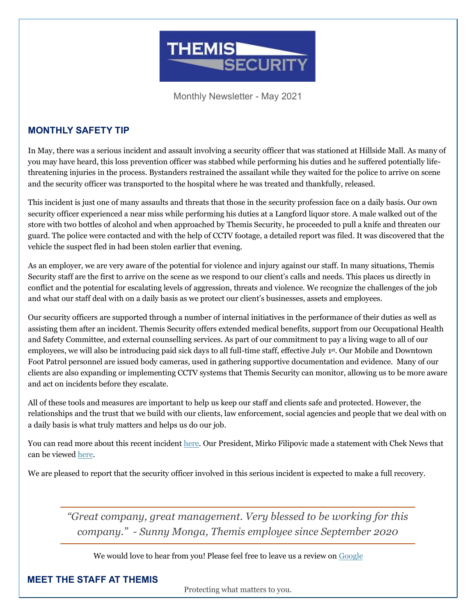

Monthly Newsletter - May 2021

#### **MONTHLY SAFETY TIP**

In May, there was a serious incident and assault involving a security officer that was stationed at Hillside Mall. As many of you may have heard, this loss prevention officer was stabbed while performing his duties and he suffered potentially lifethreatening injuries in the process. Bystanders restrained the assailant while they waited for the police to arrive on scene and the security officer was transported to the hospital where he was treated and thankfully, released.

This incident is just one of many assaults and threats that those in the security profession face on a daily basis. Our own security officer experienced a near miss while performing his duties at a Langford liquor store. A male walked out of the store with two bottles of alcohol and when approached by Themis Security, he proceeded to pull a knife and threaten our guard. The police were contacted and with the help of CCTV footage, a detailed report was filed. It was discovered that the vehicle the suspect fled in had been stolen earlier that evening.

As an employer, we are very aware of the potential for violence and injury against our staff. In many situations, Themis Security staff are the first to arrive on the scene as we respond to our client's calls and needs. This places us directly in conflict and the potential for escalating levels of aggression, threats and violence. We recognize the challenges of the job and what our staff deal with on a daily basis as we protect our client's businesses, assets and employees.

Our security officers are supported through a number of internal initiatives in the performance of their duties as well as assisting them after an incident. Themis Security offers extended medical benefits, support from our Occupational Health and Safety Committee, and external counselling services. As part of our commitment to pay a living wage to all of our employees, we will also be introducing paid sick days to all full-time staff, effective July 1st. Our Mobile and Downtown Foot Patrol personnel are issued body cameras, used in gathering supportive documentation and evidence. Many of our clients are also expanding or implementing CCTV systems that Themis Security can monitor, allowing us to be more aware and act on incidents before they escalate.

All of these tools and measures are important to help us keep our staff and clients safe and protected. However, the relationships and the trust that we build with our clients, law enforcement, social agencies and people that we deal with on a daily basis is what truly matters and helps us do our job.

You can read more about this recent inciden[t here.](https://globalnews.ca/news/7876574/stabbing-victoria-mall/) Our President, Mirko Filipovic made a statement with Chek News that can be viewed [here.](https://www.cheknews.ca/victoria-stabbing-leaves-victim-with-potentially-life-threatening-injuries-796681/)

We are pleased to report that the security officer involved in this serious incident is expected to make a full recovery.

*"Great company, great management. Very blessed to be working for this company." - Sunny Monga, Themis employee since September 2020* 

We would love to hear from you! Please feel free to leave us a review on [Google](https://www.google.com/search?gs_ssp=eJzj4tZP1zcsyc4uyc41MGC0UjWoMDWxSDMHYjMLY7NkAzNzK4MKM0MjC0szQ4O0RAMzY0ODRC_-kozU3MxiheLU5NKizJJKAJevFBE&q=themis+security&rlz=1C1CHBF_enCA907CA907&oq=themis+se&aqs=chrome.1.0i355i457j46i175i199j69i57j0l2j69i61j69i60l2.3348j1j7&sourceid=chrome&ie=UTF-8#lrd=0x548f748f6836c067:0x61289610fa06310a,1,,,)

#### **MEET THE STAFF AT THEMIS**

Protecting what matters to you.